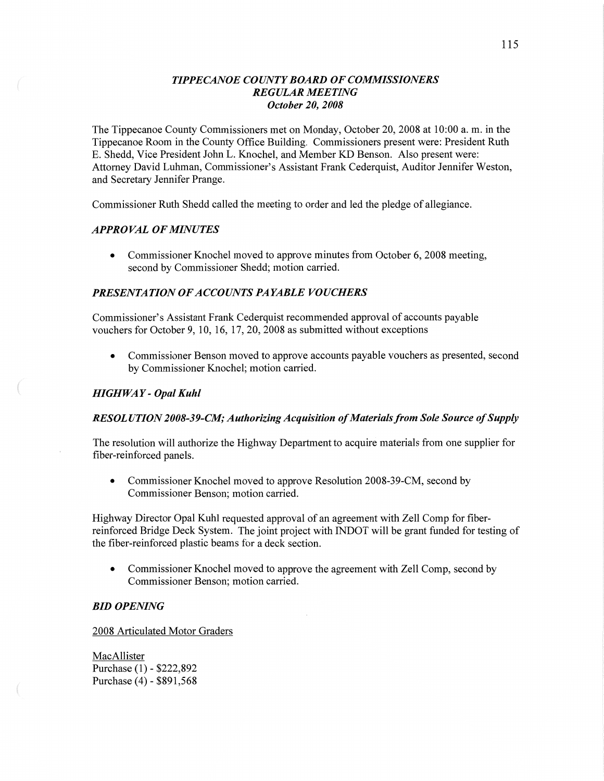## *TIPPE CANOE COUNTY BOARD* OF *COMMISSIONERS REGULAR MEETING October* 20, *2008*

The Tippecanoe County Commissioners met on Monday, October 20, 2008 at **10:00** a. m. in the Tippecanoe Room in the County Office Building. Commissioners present were: President Ruth E. Shedd, Vice President John L. Knochel, and Member KD Benson. Also present were: Attorney **David** Luhman, Commissioner's Assistant Frank Cederquist, Auditor Jennifer Weston, and Secretary Jennifer Prange.

Commissioner Ruth Shedd called the meeting to order and led the pledge of allegiance.

## *APPROVAL* OF *MINUTES*

• Commissioner Knochel moved to approve minutes from October 6, 2008 meeting, second by Commissioner Shedd; motion carried.

## *PRESENTATION* OF *ACCOUNTS PAYABLE VOUCHERS*

Commissioner's Assistant **Frank** Cederquist recommended approval of accounts payable vouchers for October 9, 10, 16, 17, 20, 2008 as submitted without exceptions

**0** Commissioner Benson moved to approve accounts payable vouchers as presented, second by Commissioner Knochel; motion carried.

## *HIGHWAY* **-** *Opal Kuhl*

## *RESOL U TION 2008-39-C1W; Authorizing Acquisition* of *Materials from Sole Source* of *Supply*

The resolution will authorize the Highway Department to acquire materials from one supplier for fiber-reinforced panels.

• Commissioner Knochel moved to approve Resolution 2008-39-CM, second by Commissioner Benson; motion carried.

Highway Director Opal Kuhl requested approval of an agreement with Zell Comp for fiber reinforced Bridge Deck System. The joint project with INDOT Will be grant funded for testing of the fiber-reinforced plastic beams for a deck **section.** 

**0** Commissioner Knochel moved to approve the agreement with Zell Comp, second by Commissioner Benson; motion carried.

#### BID *OPENING*

2008 Articulated Motor Graders

MacAllister Purchase (1) *-* **\$222,892**  Purchase (4) *-* \$891,568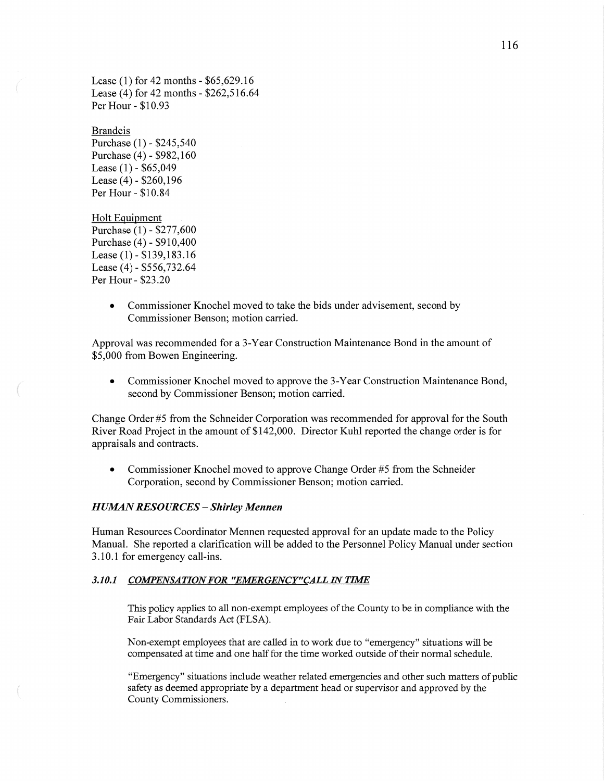Lease (1) for 42 months **-** \$65,629.16 Lease (4) for 42 months *-* \$262,516.64 Per Hour *-* \$10.93

## Brandeis

Purchase (1) *-* \$245,540 Purchase (4) *-* \$982,160 Lease (1) **-** \$65,049 Lease (4) *-* \$260,196 Per Hour *-* \$10.84

Holt Eguipment *,* Purchase ( 1) *-* \$277,600 Purchase (4) *-* \$910,400 Lease (1) - \$139,183.16 Lease (4) *-* \$556,732.64 Per Hour *-* \$23.20

> **0** Commissioner Knochel **moved** to take the bids under advisement, second by Commissioner Benson; motion carried.

Approval was recommended for **a** 3-Year Construction Maintenance Bond in the amount of \$5,000 from Bowen Engineering.

**0** Commissioner Knochel moved to approve the 3-Year Construction Maintenance Bond, second by Commissioner Benson; motion carried.

Change Order #5 from the Schneider Corporation was recommended for approval for the South River Road Project in the amount of \$142,000. Director Kuhl reported the change order is for appraisals and contracts.

**0** Commissioner Knochel moved to approve Change Order #5 from the Schneider Corporation, second by Commissioner Benson; motion carried.

#### *HUMAN RESOURCES* **—** *Shirley Mennen*

Human Resources Coordinator Mennen requested approval for an update made to the Policy Manual. She reported a clarification will be added to the Personnel Policy Manual under section 3.10.1 for emergency call-ins.

#### 3.10.1 COMPENSATION FOR "EMERGENCY"CALL IN TIME

This policy applies to all non-exempt employees of the County to be in compliance with the Fair Labor Standards Act (FLSA).

Non-exempt employees that are called in to work due to "emergency" situations will be compensated at time and one **half** for the time worked outside of their normal schedule.

"Emergency" situations include weather related emergencies and other **such** matters of public safety as deemed appropriate by a department head or supervisor and approved by the County Commissioners.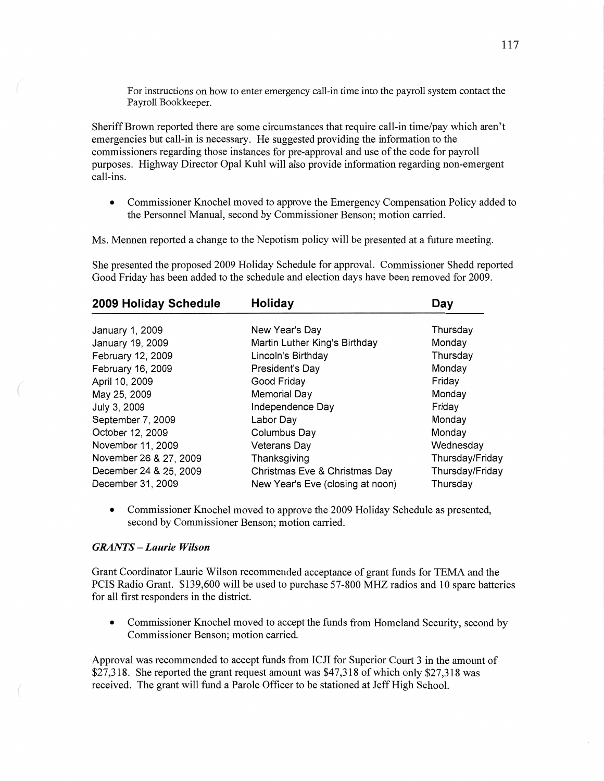For instructions on how to enter emergency call-in time into the payroll system contact the Payroll Bookkeeper.

Sheriff Brown reported there are some circumstances that require call-in time/pay which aren't emergencies but call-in is necessary. He suggested providing the information to the commissioners regarding those instances for pre-approval and use of the code for payroll purposes. Highway Director Opal Kuhl will also provide information regarding non-emergent call-ins.

**0** Commissioner Knochel moved to approve the Emergency Compensation Policy added to the Personnel Manual, second by Commissioner Benson; motion carried.

Ms. Mennen reported a change to the Nepotism policy will be presented at a future meeting.

She presented the proposed 2009 Holiday Schedule for approval. Commissioner **Shedd** reported Good Friday has been added to the schedule and election days **have** been removed for 2009.

| 2009 Holiday Schedule  | Holiday                          | Day             |
|------------------------|----------------------------------|-----------------|
| January 1, 2009        | New Year's Day                   | Thursday        |
| January 19, 2009       | Martin Luther King's Birthday    | Monday          |
| February 12, 2009      | Lincoln's Birthday               | Thursday        |
| February 16, 2009      | President's Day                  | Monday          |
| April 10, 2009         | Good Friday                      | Friday          |
| May 25, 2009           | <b>Memorial Day</b>              | Monday          |
| July 3, 2009           | Independence Day                 | Friday          |
| September 7, 2009      | Labor Day                        | Monday          |
| October 12, 2009       | Columbus Day                     | Monday          |
| November 11, 2009      | <b>Veterans Day</b>              | Wednesday       |
| November 26 & 27, 2009 | Thanksgiving                     | Thursday/Friday |
| December 24 & 25, 2009 | Christmas Eve & Christmas Day    | Thursday/Friday |
| December 31, 2009      | New Year's Eve (closing at noon) | Thursday        |

**0** Commissioner Knochel **moved** to approve the 2009 Holiday Schedule as presented, second by Commissioner Benson; motion carried.

#### *GRANTS* — *Laurie Wilson*

Grant Coordinator Laurie Wilson recommended acceptance of grant funds for **TEMA** and the PCIS Radio Grant. \$139,600 will be used to purchase 57-800 MHZ radios and 10 spare batteries for all first responders in the district.

**0** Commissioner Knochel moved to accept the funds from Homeland Security, second by Commissioner Benson; motion carried.

Approval was recommended to accept funds from ICJI for Superior Court 3 in the amount of \$27,318. She reported the grant request **amount** was \$47,318 of which only \$27,318 was received. The **grant** will fund a Parole Officer to be stationed at Jeff High School.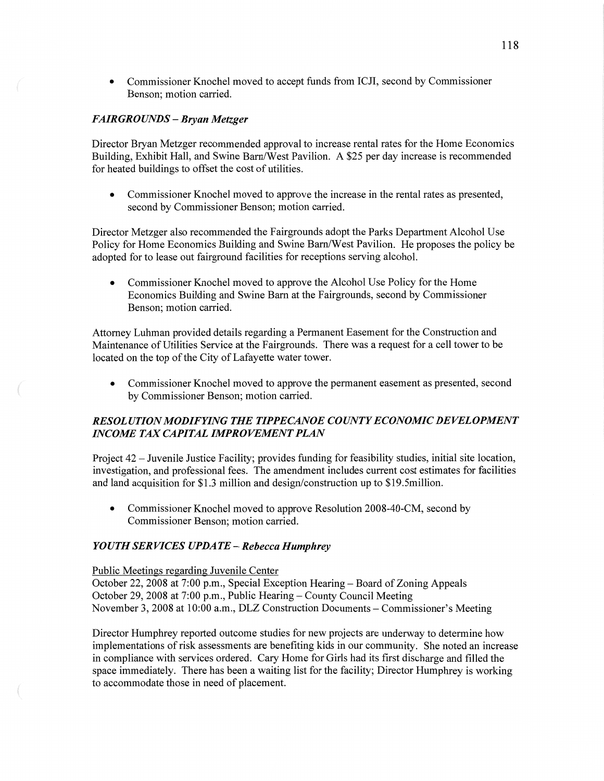**0** Commissioner Knochel moved to accept funds from ICJI, second by Commissioner Benson; motion carried.

## *FAIRGROUNDS* **—** *Bryan Metzger*

Director Bryan Metzger recommended approval to increase rental rates for the Home Economics Building, Exhibit Hall, and Swine Barn/West Pavilion. A \$25 per day increase is recommended for heated buildings to offset the cost of utilities.

**0** Commissioner Knochel moved to approve the increase in the rental rates as presented, second by Commissioner Benson; motion carried.

Director Metzger also recommended the Fairgrounds adopt the Parks Department Alcohol Use Policy for Home Economics Building and Swine Barn/W est **Pavilion.** He proposes the policy be adopted for to lease out fairground facilities for receptions serving alcohol.

**0** Commissioner Knochel moved to approve the Alcohol Use Policy for the Home Economics Building and Swine Barn at the Fairgrounds, second by Commissioner Benson; motion carried.

Attorney Luhman provided details regarding a Permanent Easement for the Construction and Maintenance of Utilities Service at the Fairgrounds. There was a request for a cell tower to be located on the top of the City of Lafayette water tower.

**0** Commissioner Knochel moved to approve the permanent easement as presented, second by Commissioner Benson; motion carried.

# *RESOLUTION MODIF YYNG* THE *TIPPECANOE COUNTY ECONOMIC DEVELOPMENT INCOME* TAX *CAPITAL IMPROVEMENT PLAN*

Project 42 — Juvenile Justice Facility; provides funding for feasibility studies, initial site location, investigation, and professional fees. The amendment includes current cost estimates for facilities and land acquisition for \$1.3 million and design/construction up to \$19.5milljon.

• Commissioner Knochel moved to approve Resolution 2008-40-CM, second by Commissioner Benson; motion carried.

## *YOUTH SERVICES UPDATE — Rebecca Humphrey*

Public Meetings regarding Juvenile Center

"Mm"

October 22, 2008 at 7:00 p.m., Special Exception Hearing - Board of Zoning Appeals October 29, 2008 at 7:00 p.m., Public Hearing *—* County Council Meeting November 3, 2008 at 10:00 a.m., DLZ Constmction Documents **—** Commissioner's Meeting

Director Humphrey reported outcome studies for new projects are underway to determine how implementations of risk assessments are benefiting kids in our community. She noted an increase in compliance with services ordered. Cary Home for Girls had its first discharge and filled the space immediately. There has been a waiting list for the facility; Director Humphrey is working to accommodate those in need of placement.